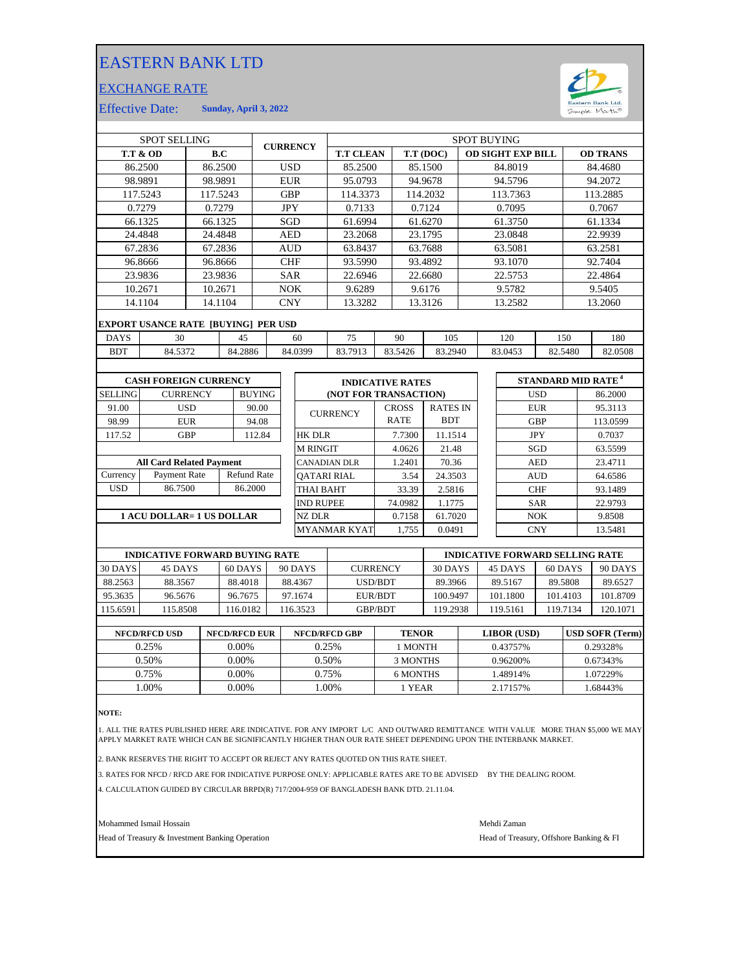## EASTERN BANK LTD

## EXCHANGE RATE



Effective Date: **Sunday, April 3, 2022**

| <b>SPOT SELLING</b>               |                                            |                      |               |                    | <b>CURRENCY</b>    |                  | <b>SPOT BUYING</b>  |                                                                 |                       |                          |            |            |                 |                                        |            |         |          |
|-----------------------------------|--------------------------------------------|----------------------|---------------|--------------------|--------------------|------------------|---------------------|-----------------------------------------------------------------|-----------------------|--------------------------|------------|------------|-----------------|----------------------------------------|------------|---------|----------|
| <b>T.T &amp; OD</b><br>B.C        |                                            |                      |               | <b>T.T CLEAN</b>   |                    |                  |                     | T.T (DOC)                                                       |                       | <b>OD SIGHT EXP BILL</b> |            |            | <b>OD TRANS</b> |                                        |            |         |          |
|                                   | 86.2500<br>86.2500                         |                      |               |                    | <b>USD</b>         |                  | 85.2500             |                                                                 |                       | 85.1500                  |            |            | 84.8019         |                                        |            | 84.4680 |          |
| 98.9891                           |                                            | 98.9891              |               | <b>EUR</b>         |                    | 95.0793          |                     | 94.9678                                                         |                       |                          | 94.5796    |            |                 |                                        | 94.2072    |         |          |
| 117.5243<br>117.5243              |                                            |                      |               | <b>GBP</b>         |                    | 114.3373         |                     |                                                                 | 114.2032              |                          | 113.7363   |            |                 | 113.2885                               |            |         |          |
|                                   | 0.7279                                     |                      | 0.7279        |                    |                    | <b>JPY</b>       |                     | 0.7133                                                          |                       |                          | 0.7124     |            |                 | 0.7095                                 |            |         | 0.7067   |
|                                   | 66.1325                                    |                      | 66.1325       |                    |                    | SGD              |                     | 61.6994                                                         |                       |                          | 61.6270    |            |                 | 61.3750                                |            |         | 61.1334  |
|                                   | 24.4848                                    |                      | 24.4848       |                    |                    | <b>AED</b>       |                     | 23.2068                                                         |                       |                          | 23.1795    |            |                 | 23.0848                                |            |         | 22.9939  |
|                                   | 67.2836                                    |                      | 67.2836       |                    | <b>AUD</b>         |                  | 63.8437             |                                                                 | 63.7688               |                          |            | 63.5081    |                 |                                        |            | 63.2581 |          |
|                                   | 96.8666                                    |                      | 96.8666       |                    | <b>CHF</b>         |                  | 93.5990             |                                                                 | 93.4892               |                          |            |            | 93.1070         |                                        |            | 92.7404 |          |
|                                   | 23.9836                                    |                      | 23.9836       |                    | <b>SAR</b>         |                  |                     | 22.6946                                                         | 22.6680               |                          |            |            |                 | 22.5753                                |            | 22.4864 |          |
|                                   | 10.2671                                    |                      | 10.2671       |                    |                    | <b>NOK</b>       |                     | 9.6289                                                          |                       |                          | 9.6176     |            |                 | 9.5782                                 |            | 9.5405  |          |
|                                   | 14.1104                                    |                      | 14.1104       |                    | <b>CNY</b>         |                  | 13.3282             |                                                                 | 13.3126               |                          |            | 13.2582    |                 |                                        | 13.2060    |         |          |
|                                   | <b>EXPORT USANCE RATE [BUYING] PER USD</b> |                      |               |                    |                    |                  |                     |                                                                 |                       |                          |            |            |                 |                                        |            |         |          |
| <b>DAYS</b>                       |                                            | 30<br>45             |               |                    | 60                 |                  | 75                  |                                                                 | 90                    | 105                      |            |            | 120             | 150                                    |            | 180     |          |
| <b>BDT</b>                        | 84.5372                                    |                      | 84.2886       |                    |                    |                  | 84.0399             | 83.7913                                                         |                       | 83.5426                  | 83.2940    |            |                 | 83.0453                                | 82.5480    |         | 82.0508  |
|                                   |                                            |                      |               |                    |                    |                  |                     |                                                                 |                       |                          |            |            |                 |                                        |            |         |          |
|                                   | <b>CASH FOREIGN CURRENCY</b>               |                      |               |                    |                    |                  |                     | <b>STANDARD MID RATE<sup>4</sup></b><br><b>INDICATIVE RATES</b> |                       |                          |            |            |                 |                                        |            |         |          |
| <b>SELLING</b><br><b>CURRENCY</b> |                                            |                      | <b>BUYING</b> |                    |                    |                  |                     |                                                                 | (NOT FOR TRANSACTION) |                          |            |            | <b>USD</b>      |                                        |            | 86.2000 |          |
| 91.00                             | <b>USD</b>                                 |                      | 90.00         |                    |                    | <b>CURRENCY</b>  |                     |                                                                 | <b>CROSS</b>          | <b>RATES IN</b>          |            |            | <b>EUR</b>      |                                        |            | 95.3113 |          |
| 98.99                             |                                            | <b>EUR</b>           |               | 94.08              |                    |                  |                     |                                                                 |                       | <b>RATE</b>              | <b>BDT</b> |            |                 | <b>GBP</b>                             |            |         | 113.0599 |
| 117.52                            |                                            | <b>GBP</b><br>112.84 |               |                    |                    | <b>HK DLR</b>    |                     |                                                                 | 7.7300                | 11.1514                  |            |            | <b>JPY</b>      |                                        | 0.7037     |         |          |
|                                   |                                            |                      |               |                    |                    |                  | <b>M RINGIT</b>     |                                                                 |                       | 4.0626                   | 21.48      |            |                 | SGD                                    |            | 63.5599 |          |
| <b>All Card Related Payment</b>   |                                            |                      |               |                    |                    | CANADIAN DLR     |                     |                                                                 | 1.2401                | 70.36                    |            | <b>AED</b> |                 |                                        |            | 23.4711 |          |
| Currency                          | Payment Rate                               |                      |               | <b>Refund Rate</b> | <b>OATARI RIAL</b> |                  |                     |                                                                 | 3.54                  | 24.3503                  |            |            | <b>AUD</b>      |                                        |            | 64.6586 |          |
| <b>USD</b>                        | 86.7500                                    |                      |               | 86.2000            |                    |                  | THAI BAHT           |                                                                 |                       | 33.39                    | 2.5816     |            |                 |                                        | <b>CHF</b> |         | 93.1489  |
|                                   |                                            |                      |               |                    |                    | <b>IND RUPEE</b> |                     |                                                                 | 74.0982               | 1.1775                   |            |            |                 | <b>SAR</b>                             |            | 22.9793 |          |
| <b>1 ACU DOLLAR= 1 US DOLLAR</b>  |                                            |                      |               |                    |                    | <b>NZ DLR</b>    |                     |                                                                 | 0.7158                | 61.7020                  |            |            |                 | <b>NOK</b>                             |            | 9.8508  |          |
|                                   |                                            |                      |               |                    |                    |                  | <b>MYANMAR KYAT</b> |                                                                 | 1,755                 | 0.0491                   |            |            |                 | <b>CNY</b>                             |            | 13.5481 |          |
|                                   | <b>INDICATIVE FORWARD BUYING RATE</b>      |                      |               |                    |                    |                  |                     |                                                                 |                       |                          |            |            |                 | <b>INDICATIVE FORWARD SELLING RATE</b> |            |         |          |

|          | <b>INDICATIVE FORWARD BUYING RATE</b> |          |         |                 | INDICATIVE FORWARD SELLING RATE |          |          |          |  |
|----------|---------------------------------------|----------|---------|-----------------|---------------------------------|----------|----------|----------|--|
| 30 DAYS  | 45 DAYS                               | 60 DAYS  | 90 DAYS | <b>CURRENCY</b> | 30 DAYS                         | 45 DAYS  | 60 DAYS  | 90 DAYS  |  |
| 88.2563  | 88.3567                               | 88.4018  | 88.4367 | <b>USD/BDT</b>  | 89.3966                         | 89.5167  | 89.5808  | 89.6527  |  |
| 95.3635  | 96.5676                               | 96.7675  | 97.1674 | EUR/BDT         | 100.9497                        | 101.1800 | 101.4103 | 101.8709 |  |
| 115.6591 | 115.8508                              | 116.0182 | 16.3523 | <b>GBP/BDT</b>  | 119.2938                        | 19.5161  | 119.7134 | 120.1071 |  |

| <b>NFCD/RFCD USD</b> | <b>NFCD/RFCD EUR</b> | <b>NFCD/RFCD GBP</b> | <b>TENOR</b> | LIBOR (USD) | <b>USD SOFR (Term)</b> |
|----------------------|----------------------|----------------------|--------------|-------------|------------------------|
| 0.25%                | $0.00\%$             | 0.25%                | I MONTH      | 0.43757%    | 0.29328%               |
| 0.50%                | 0.00%                | 0.50%                | 3 MONTHS     | 0.96200\%   | 0.67343%               |
| 0.75%                | 0.00%                | 0.75%                | 6 MONTHS     | .48914%     | 1.07229%               |
| .00%                 | 0.00%                | .00%                 | 1 YEAR       | 2.17157%    | 1.68443%               |
|                      |                      |                      |              |             |                        |

**NOTE:**

1. ALL THE RATES PUBLISHED HERE ARE INDICATIVE. FOR ANY IMPORT L/C AND OUTWARD REMITTANCE WITH VALUE MORE THAN \$5,000 WE MAY<br>APPLY MARKET RATE WHICH CAN BE SIGNIFICANTLY HIGHER THAN OUR RATE SHEET DEPENDING UPON THE IN

2. BANK RESERVES THE RIGHT TO ACCEPT OR REJECT ANY RATES QUOTED ON THIS RATE SHEET.

3. RATES FOR NFCD / RFCD ARE FOR INDICATIVE PURPOSE ONLY: APPLICABLE RATES ARE TO BE ADVISED BY THE DEALING ROOM.

4. CALCULATION GUIDED BY CIRCULAR BRPD(R) 717/2004-959 OF BANGLADESH BANK DTD. 21.11.04.

Mohammed Ismail Hossain Mehdi Zaman

Head of Treasury & Investment Banking Operation **Head of Treasury, Offshore Banking & FI**